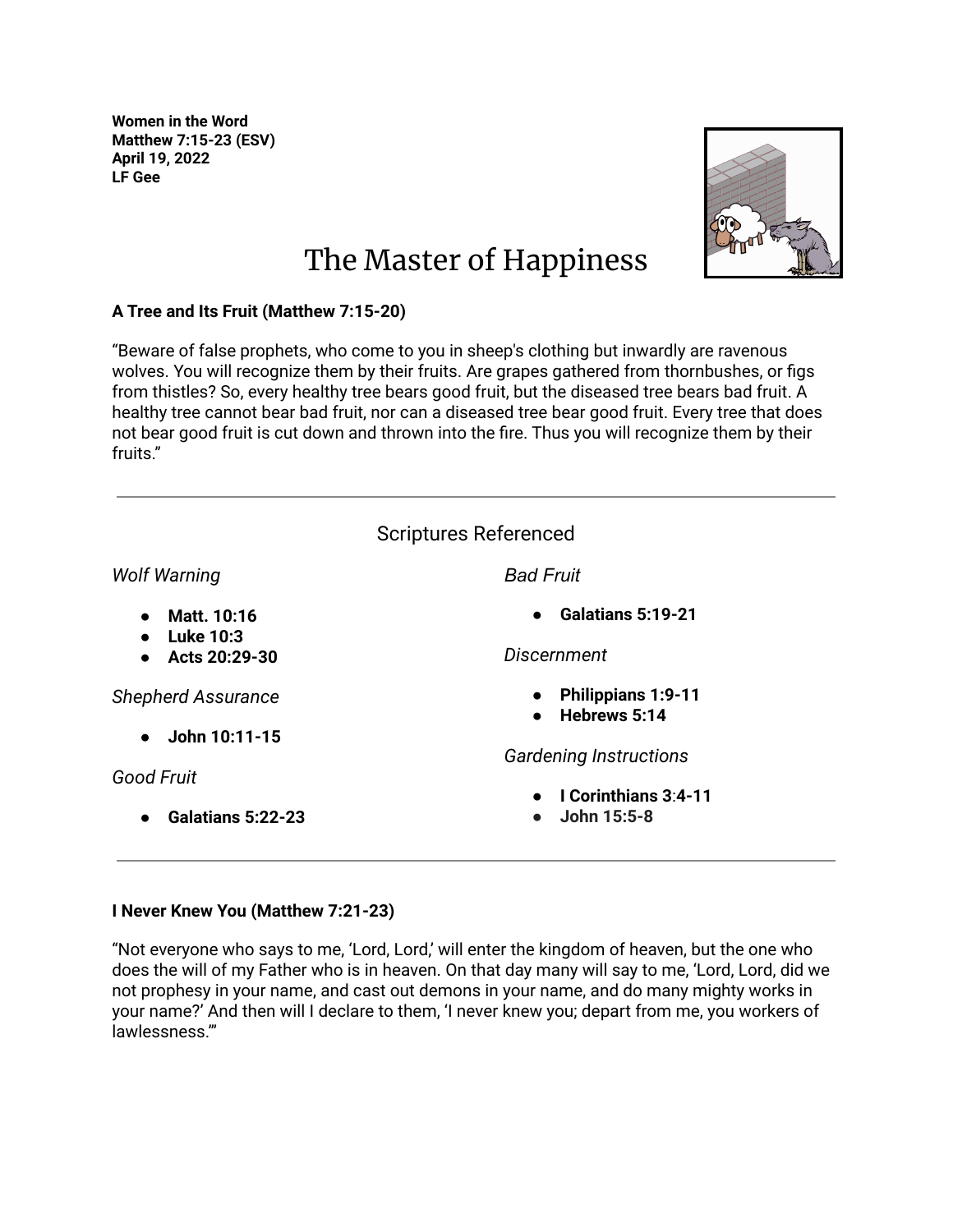**Women in the Word Matthew 7:15-23 (ESV) April 19, 2022 LF Gee**



## The Master of Happiness

## **A Tree and Its Fruit (Matthew 7:15-20)**

"Beware of false prophets, who come to you in sheep's clothing but inwardly are ravenous wolves. You will recognize them by their fruits. Are grapes gathered from thornbushes, or figs from thistles? So, every healthy tree bears good fruit, but the diseased tree bears bad fruit. A healthy tree cannot bear bad fruit, nor can a diseased tree bear good fruit. Every tree that does not bear good fruit is cut down and thrown into the fire. Thus you will recognize them by their fruits."

|                                            | <b>Scriptures Referenced</b>                                                                   |
|--------------------------------------------|------------------------------------------------------------------------------------------------|
| <b>Wolf Warning</b>                        | <b>Bad Fruit</b>                                                                               |
| Matt. 10:16<br><b>Luke 10:3</b>            | <b>Galatians 5:19-21</b><br>$\bullet$                                                          |
| Acts 20:29-30<br><b>Shepherd Assurance</b> | <b>Discernment</b><br><b>Philippians 1:9-11</b><br>$\bullet$<br>Hebrews 5:14<br>$\bullet$      |
| John 10:11-15<br>Good Fruit                | <b>Gardening Instructions</b><br>I Corinthians 3:4-11<br>$\bullet$<br>John 15:5-8<br>$\bullet$ |
| Galatians 5:22-23                          |                                                                                                |

## **I Never Knew You (Matthew 7:21-23)**

"Not everyone who says to me, 'Lord, Lord,' will enter the kingdom of heaven, but the one who does the will of my Father who is in heaven. On that day many will say to me, 'Lord, Lord, did we not prophesy in your name, and cast out demons in your name, and do many mighty works in your name?' And then will I declare to them, 'I never knew you; depart from me, you workers of lawlessness.'"